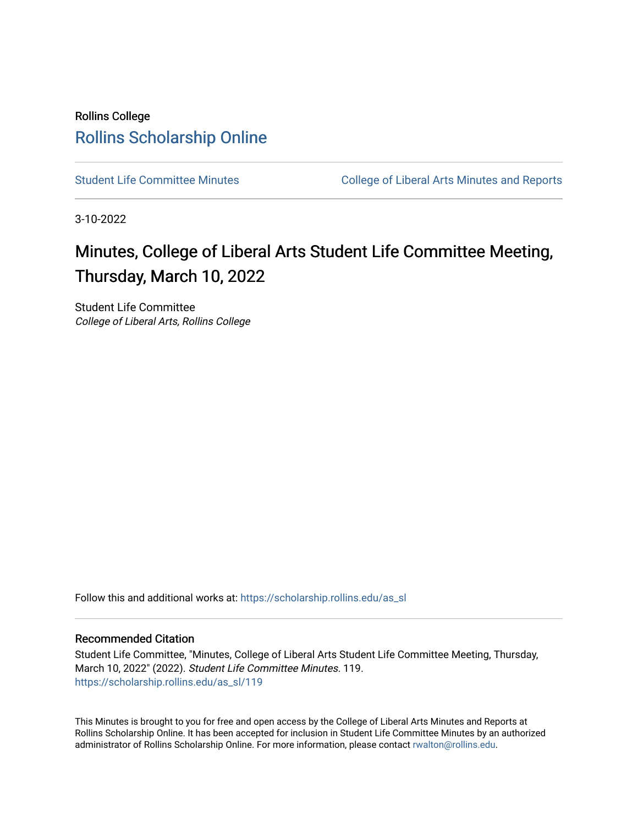## Rollins College [Rollins Scholarship Online](https://scholarship.rollins.edu/)

[Student Life Committee Minutes](https://scholarship.rollins.edu/as_sl) **College of Liberal Arts Minutes and Reports** 

3-10-2022

# Minutes, College of Liberal Arts Student Life Committee Meeting, Thursday, March 10, 2022

Student Life Committee College of Liberal Arts, Rollins College

Follow this and additional works at: [https://scholarship.rollins.edu/as\\_sl](https://scholarship.rollins.edu/as_sl?utm_source=scholarship.rollins.edu%2Fas_sl%2F119&utm_medium=PDF&utm_campaign=PDFCoverPages)

#### Recommended Citation

Student Life Committee, "Minutes, College of Liberal Arts Student Life Committee Meeting, Thursday, March 10, 2022" (2022). Student Life Committee Minutes. 119. [https://scholarship.rollins.edu/as\\_sl/119](https://scholarship.rollins.edu/as_sl/119?utm_source=scholarship.rollins.edu%2Fas_sl%2F119&utm_medium=PDF&utm_campaign=PDFCoverPages)

This Minutes is brought to you for free and open access by the College of Liberal Arts Minutes and Reports at Rollins Scholarship Online. It has been accepted for inclusion in Student Life Committee Minutes by an authorized administrator of Rollins Scholarship Online. For more information, please contact [rwalton@rollins.edu.](mailto:rwalton@rollins.edu)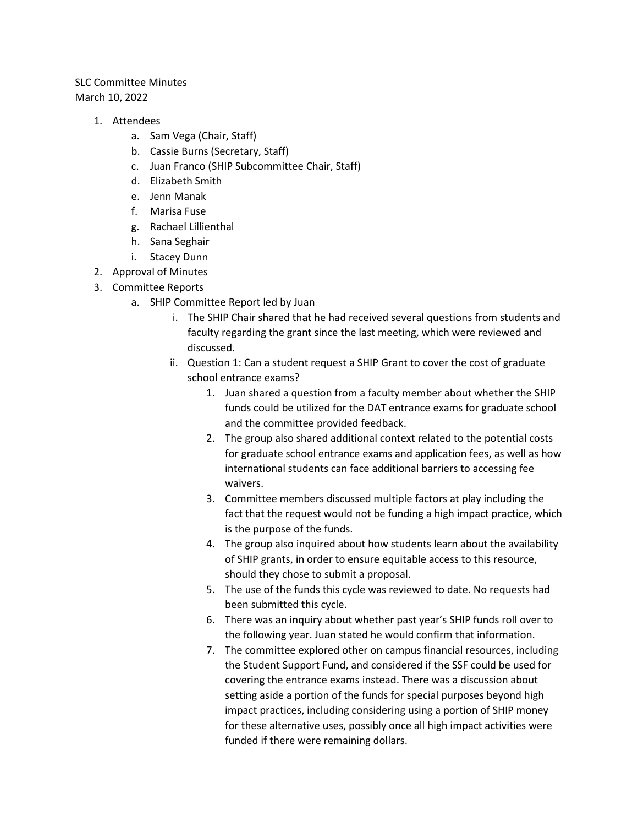### SLC Committee Minutes March 10, 2022

- 1. Attendees
	- a. Sam Vega (Chair, Staff)
	- b. Cassie Burns (Secretary, Staff)
	- c. Juan Franco (SHIP Subcommittee Chair, Staff)
	- d. Elizabeth Smith
	- e. Jenn Manak
	- f. Marisa Fuse
	- g. Rachael Lillienthal
	- h. Sana Seghair
	- i. Stacey Dunn
- 2. Approval of Minutes
- 3. Committee Reports
	- a. SHIP Committee Report led by Juan
		- i. The SHIP Chair shared that he had received several questions from students and faculty regarding the grant since the last meeting, which were reviewed and discussed.
		- ii. Question 1: Can a student request a SHIP Grant to cover the cost of graduate school entrance exams?
			- 1. Juan shared a question from a faculty member about whether the SHIP funds could be utilized for the DAT entrance exams for graduate school and the committee provided feedback.
			- 2. The group also shared additional context related to the potential costs for graduate school entrance exams and application fees, as well as how international students can face additional barriers to accessing fee waivers.
			- 3. Committee members discussed multiple factors at play including the fact that the request would not be funding a high impact practice, which is the purpose of the funds.
			- 4. The group also inquired about how students learn about the availability of SHIP grants, in order to ensure equitable access to this resource, should they chose to submit a proposal.
			- 5. The use of the funds this cycle was reviewed to date. No requests had been submitted this cycle.
			- 6. There was an inquiry about whether past year's SHIP funds roll over to the following year. Juan stated he would confirm that information.
			- 7. The committee explored other on campus financial resources, including the Student Support Fund, and considered if the SSF could be used for covering the entrance exams instead. There was a discussion about setting aside a portion of the funds for special purposes beyond high impact practices, including considering using a portion of SHIP money for these alternative uses, possibly once all high impact activities were funded if there were remaining dollars.